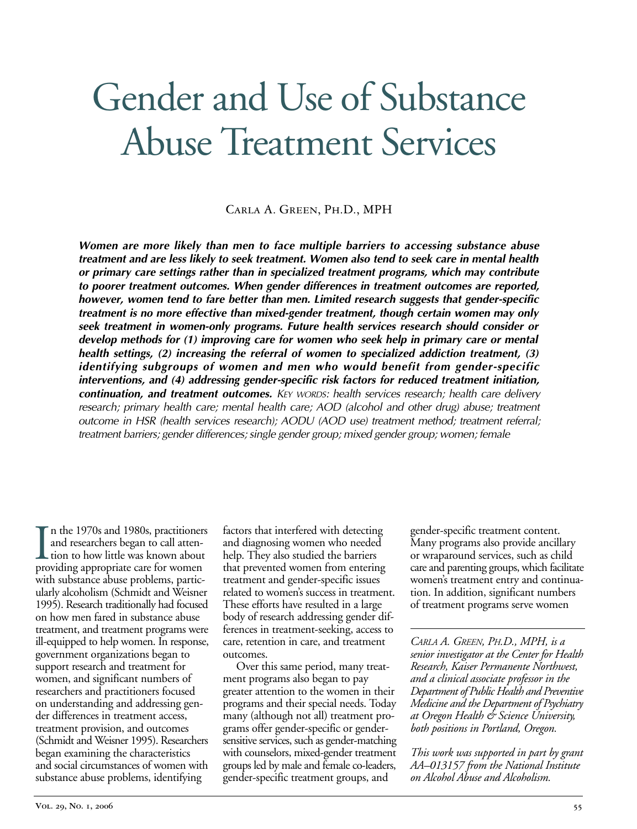# Gender and Use of Substance Abuse Treatment Services

Carla A. Green, Ph.D., MPH

*Women are more likely than men to face multiple barriers to accessing substance abuse treatment and are less likely to seek treatment. Women also tend to seek care in mental health or primary care settings rather than in specialized treatment programs, which may contribute to poorer treatment outcomes. When gender differences in treatment outcomes are reported, however, women tend to fare better than men. Limited research suggests that gender-specific treatment is no more effective than mixed-gender treatment, though certain women may only seek treatment in women-only programs. Future health services research should consider or develop methods for (1) improving care for women who seek help in primary care or mental health settings, (2) increasing the referral of women to specialized addiction treatment, (3) identifying subgroups of women and men who would benefit from gender-specific interventions, and (4) addressing gender-specific risk factors for reduced treatment initiation, continuation, and treatment outcomes. KEY WORDS: health services research; health care delivery research; primary health care; mental health care; AOD (alcohol and other drug) abuse; treatment outcome in HSR (health services research); AODU (AOD use) treatment method; treatment referral; treatment barriers; gender differences; single gender group; mixed gender group; women; female* 

In the 1970s and 1980s, practitioners<br>and researchers began to call atten-<br>tion to how little was known about<br>providing appropriate care for women n the 1970s and 1980s, practitioners and researchers began to call attention to how little was known about with substance abuse problems, particularly alcoholism (Schmidt and Weisner 1995). Research traditionally had focused on how men fared in substance abuse treatment, and treatment programs were ill-equipped to help women. In response, government organizations began to support research and treatment for women, and significant numbers of researchers and practitioners focused on understanding and addressing gender differences in treatment access, treatment provision, and outcomes (Schmidt and Weisner 1995). Researchers began examining the characteristics and social circumstances of women with substance abuse problems, identifying

factors that interfered with detecting and diagnosing women who needed help. They also studied the barriers that prevented women from entering treatment and gender-specific issues related to women's success in treatment. These efforts have resulted in a large body of research addressing gender differences in treatment-seeking, access to care, retention in care, and treatment outcomes.

Over this same period, many treatment programs also began to pay greater attention to the women in their programs and their special needs. Today many (although not all) treatment programs offer gender-specific or gendersensitive services, such as gender-matching with counselors, mixed-gender treatment groups led by male and female co-leaders, gender-specific treatment groups, and

gender-specific treatment content. Many programs also provide ancillary or wraparound services, such as child care and parenting groups, which facilitate women's treatment entry and continuation. In addition, significant numbers of treatment programs serve women

*CARLA A. GREEN, PH.D., MPH, is a senior investigator at the Center for Health Research, Kaiser Permanente Northwest, and a clinical associate professor in the Department of Public Health and Preventive Medicine and the Department of Psychiatry at Oregon Health & Science University, both positions in Portland, Oregon.* 

*This work was supported in part by grant AA–013157 from the National Institute on Alcohol Abuse and Alcoholism.*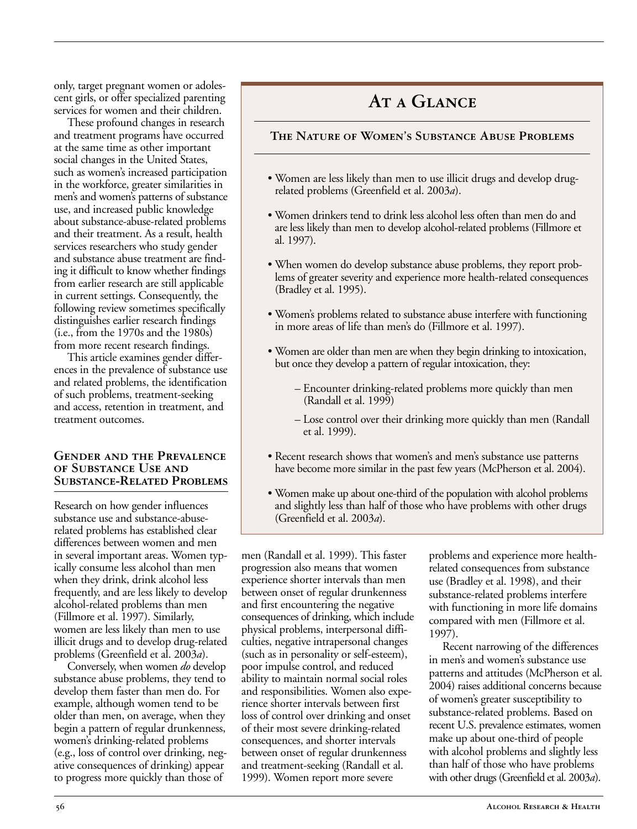only, target pregnant women or adolescent girls, or offer specialized parenting services for women and their children.

These profound changes in research and treatment programs have occurred at the same time as other important social changes in the United States, such as women's increased participation in the workforce, greater similarities in men's and women's patterns of substance use, and increased public knowledge about substance-abuse-related problems and their treatment. As a result, health services researchers who study gender and substance abuse treatment are finding it difficult to know whether findings from earlier research are still applicable in current settings. Consequently, the following review sometimes specifically distinguishes earlier research findings (i.e., from the 1970s and the 1980s) from more recent research findings.

This article examines gender differences in the prevalence of substance use and related problems, the identification of such problems, treatment-seeking and access, retention in treatment, and treatment outcomes.

#### **Gender and the Prevalence of Substance Use and Substance-Related Problems**

Research on how gender influences substance use and substance-abuserelated problems has established clear differences between women and men in several important areas. Women typically consume less alcohol than men when they drink, drink alcohol less frequently, and are less likely to develop alcohol-related problems than men (Fillmore et al. 1997). Similarly, women are less likely than men to use illicit drugs and to develop drug-related problems (Greenfield et al. 2003*a*).

Conversely, when women *do* develop substance abuse problems, they tend to develop them faster than men do. For example, although women tend to be older than men, on average, when they begin a pattern of regular drunkenness, women's drinking-related problems (e.g., loss of control over drinking, negative consequences of drinking) appear to progress more quickly than those of

# AT A GLANCE

#### **The Nature of Women's Substance Abuse Problems**

- Women are less likely than men to use illicit drugs and develop drugrelated problems (Greenfield et al. 2003*a*).
- Women drinkers tend to drink less alcohol less often than men do and are less likely than men to develop alcohol-related problems (Fillmore et al. 1997).
- When women do develop substance abuse problems, they report problems of greater severity and experience more health-related consequences (Bradley et al. 1995).
- Women's problems related to substance abuse interfere with functioning in more areas of life than men's do (Fillmore et al. 1997).
- Women are older than men are when they begin drinking to intoxication, but once they develop a pattern of regular intoxication, they:
	- Encounter drinking-related problems more quickly than men (Randall et al. 1999)
	- Lose control over their drinking more quickly than men (Randall et al. 1999).
- Recent research shows that women's and men's substance use patterns have become more similar in the past few years (McPherson et al. 2004).
- Women make up about one-third of the population with alcohol problems and slightly less than half of those who have problems with other drugs (Greenfield et al. 2003*a*).

men (Randall et al. 1999). This faster progression also means that women experience shorter intervals than men between onset of regular drunkenness and first encountering the negative consequences of drinking, which include physical problems, interpersonal difficulties, negative intrapersonal changes (such as in personality or self-esteem), poor impulse control, and reduced ability to maintain normal social roles and responsibilities. Women also experience shorter intervals between first loss of control over drinking and onset of their most severe drinking-related consequences, and shorter intervals between onset of regular drunkenness and treatment-seeking (Randall et al. 1999). Women report more severe

problems and experience more healthrelated consequences from substance use (Bradley et al. 1998), and their substance-related problems interfere with functioning in more life domains compared with men (Fillmore et al. 1997).

Recent narrowing of the differences in men's and women's substance use patterns and attitudes (McPherson et al. 2004) raises additional concerns because of women's greater susceptibility to substance-related problems. Based on recent U.S. prevalence estimates, women make up about one-third of people with alcohol problems and slightly less than half of those who have problems with other drugs (Greenfield et al. 2003*a*).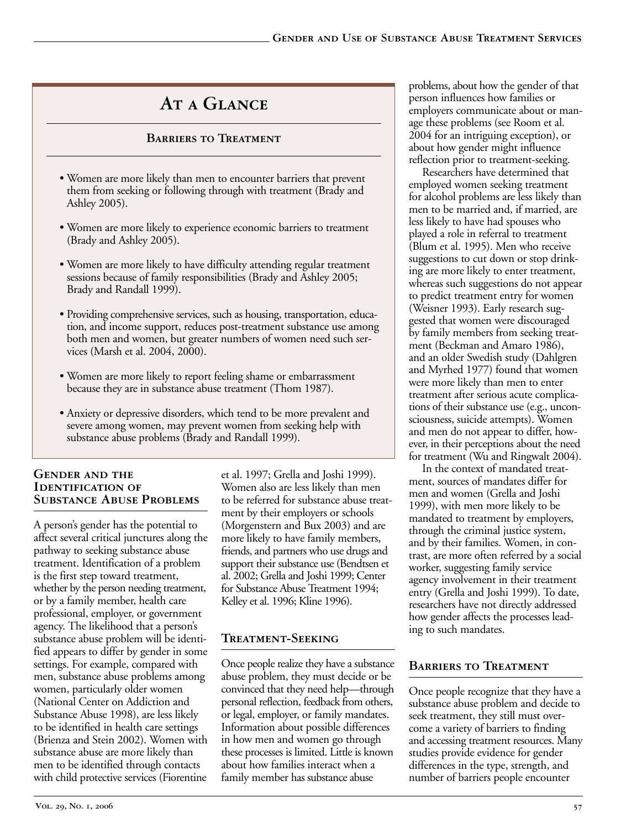# **At a Glance**

#### **Barriers to Treatment**

- Women are more likely than men to encounter barriers that prevent them from seeking or following through with treatment (Brady and Ashley 2005).
- Women are more likely to experience economic barriers to treatment (Brady and Ashley 2005).
- Women are more likely to have difficulty attending regular treatment sessions because of family responsibilities (Brady and Ashley 2005; Brady and Randall 1999).
- Providing comprehensive services, such as housing, transportation, education, and income support, reduces post-treatment substance use among both men and women, but greater numbers of women need such services (Marsh et al. 2004, 2000).
- Women are more likely to report feeling shame or embarrassment because they are in substance abuse treatment (Thom 1987).
- Anxiety or depressive disorders, which tend to be more prevalent and severe among women, may prevent women from seeking help with substance abuse problems (Brady and Randall 1999).

#### **Gender and the Identification of Substance Abuse Problems**

A person's gender has the potential to affect several critical junctures along the pathway to seeking substance abuse treatment. Identification of a problem is the first step toward treatment, whether by the person needing treatment, or by a family member, health care professional, employer, or government agency. The likelihood that a person's substance abuse problem will be identified appears to differ by gender in some settings. For example, compared with men, substance abuse problems among women, particularly older women (National Center on Addiction and Substance Abuse 1998), are less likely to be identified in health care settings (Brienza and Stein 2002). Women with substance abuse are more likely than men to be identified through contacts with child protective services (Fiorentine

et al. 1997; Grella and Joshi 1999). Women also are less likely than men to be referred for substance abuse treatment by their employers or schools (Morgenstern and Bux 2003) and are more likely to have family members, friends, and partners who use drugs and support their substance use (Bendtsen et al. 2002; Grella and Joshi 1999; Center for Substance Abuse Treatment 1994; Kelley et al. 1996; Kline 1996).

# **Treatment-Seeking**

Once people realize they have a substance abuse problem, they must decide or be convinced that they need help—through personal reflection, feedback from others, or legal, employer, or family mandates. Information about possible differences in how men and women go through these processes is limited. Little is known about how families interact when a family member has substance abuse

problems, about how the gender of that person influences how families or employers communicate about or manage these problems (see Room et al. 2004 for an intriguing exception), or about how gender might influence reflection prior to treatment-seeking.

Researchers have determined that employed women seeking treatment for alcohol problems are less likely than men to be married and, if married, are less likely to have had spouses who played a role in referral to treatment (Blum et al. 1995). Men who receive suggestions to cut down or stop drinking are more likely to enter treatment, whereas such suggestions do not appear to predict treatment entry for women (Weisner 1993). Early research suggested that women were discouraged by family members from seeking treatment (Beckman and Amaro 1986), and an older Swedish study (Dahlgren and Myrhed 1977) found that women were more likely than men to enter treatment after serious acute complications of their substance use (e.g., unconsciousness, suicide attempts). Women and men do not appear to differ, however, in their perceptions about the need for treatment (Wu and Ringwalt 2004).

In the context of mandated treatment, sources of mandates differ for men and women (Grella and Joshi 1999), with men more likely to be mandated to treatment by employers, through the criminal justice system, and by their families. Women, in contrast, are more often referred by a social worker, suggesting family service agency involvement in their treatment entry (Grella and Joshi 1999). To date, researchers have not directly addressed how gender affects the processes leading to such mandates.

# **Barriers to Treatment**

Once people recognize that they have a substance abuse problem and decide to seek treatment, they still must overcome a variety of barriers to finding and accessing treatment resources. Many studies provide evidence for gender differences in the type, strength, and number of barriers people encounter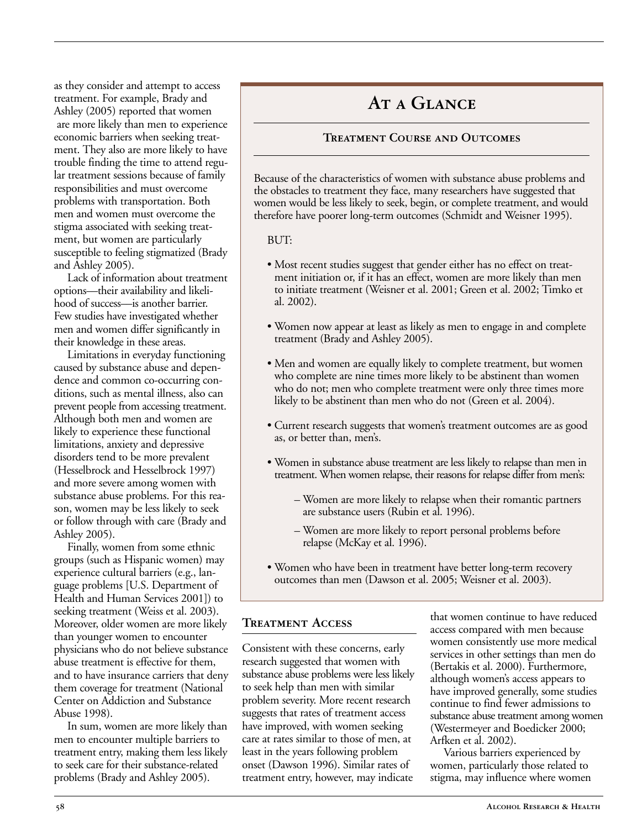as they consider and attempt to access treatment. For example, Brady and Ashley (2005) reported that women are more likely than men to experience economic barriers when seeking treatment. They also are more likely to have trouble finding the time to attend regular treatment sessions because of family responsibilities and must overcome problems with transportation. Both men and women must overcome the stigma associated with seeking treatment, but women are particularly susceptible to feeling stigmatized (Brady and Ashley 2005).

Lack of information about treatment options––their availability and likelihood of success––is another barrier. Few studies have investigated whether men and women differ significantly in their knowledge in these areas.

Limitations in everyday functioning caused by substance abuse and dependence and common co-occurring conditions, such as mental illness, also can prevent people from accessing treatment. Although both men and women are likely to experience these functional limitations, anxiety and depressive disorders tend to be more prevalent (Hesselbrock and Hesselbrock 1997) and more severe among women with substance abuse problems. For this reason, women may be less likely to seek or follow through with care (Brady and Ashley 2005).

Finally, women from some ethnic groups (such as Hispanic women) may experience cultural barriers (e.g., language problems [U.S. Department of Health and Human Services 2001]) to seeking treatment (Weiss et al. 2003). Moreover, older women are more likely than younger women to encounter physicians who do not believe substance abuse treatment is effective for them, and to have insurance carriers that deny them coverage for treatment (National Center on Addiction and Substance Abuse 1998).

In sum, women are more likely than men to encounter multiple barriers to treatment entry, making them less likely to seek care for their substance-related problems (Brady and Ashley 2005).

# AT A GLANCE

## **Treatment Course and Outcomes**

Because of the characteristics of women with substance abuse problems and the obstacles to treatment they face, many researchers have suggested that women would be less likely to seek, begin, or complete treatment, and would therefore have poorer long-term outcomes (Schmidt and Weisner 1995).

#### BUT:

- Most recent studies suggest that gender either has no effect on treatment initiation or, if it has an effect, women are more likely than men to initiate treatment (Weisner et al. 2001; Green et al. 2002; Timko et al. 2002).
- Women now appear at least as likely as men to engage in and complete treatment (Brady and Ashley 2005).
- Men and women are equally likely to complete treatment, but women who complete are nine times more likely to be abstinent than women who do not; men who complete treatment were only three times more likely to be abstinent than men who do not (Green et al. 2004).
- Current research suggests that women's treatment outcomes are as good as, or better than, men's.
- Women in substance abuse treatment are less likely to relapse than men in treatment. When women relapse, their reasons for relapse differ from men's:
	- Women are more likely to relapse when their romantic partners are substance users (Rubin et al. 1996).
	- Women are more likely to report personal problems before relapse (McKay et al. 1996).
- Women who have been in treatment have better long-term recovery outcomes than men (Dawson et al. 2005; Weisner et al. 2003).

## **Treatment Access**

Consistent with these concerns, early research suggested that women with substance abuse problems were less likely to seek help than men with similar problem severity. More recent research suggests that rates of treatment access have improved, with women seeking care at rates similar to those of men, at least in the years following problem onset (Dawson 1996). Similar rates of treatment entry, however, may indicate

that women continue to have reduced access compared with men because women consistently use more medical services in other settings than men do (Bertakis et al. 2000). Furthermore, although women's access appears to have improved generally, some studies continue to find fewer admissions to substance abuse treatment among women (Westermeyer and Boedicker 2000; Arfken et al. 2002).

Various barriers experienced by women, particularly those related to stigma, may influence where women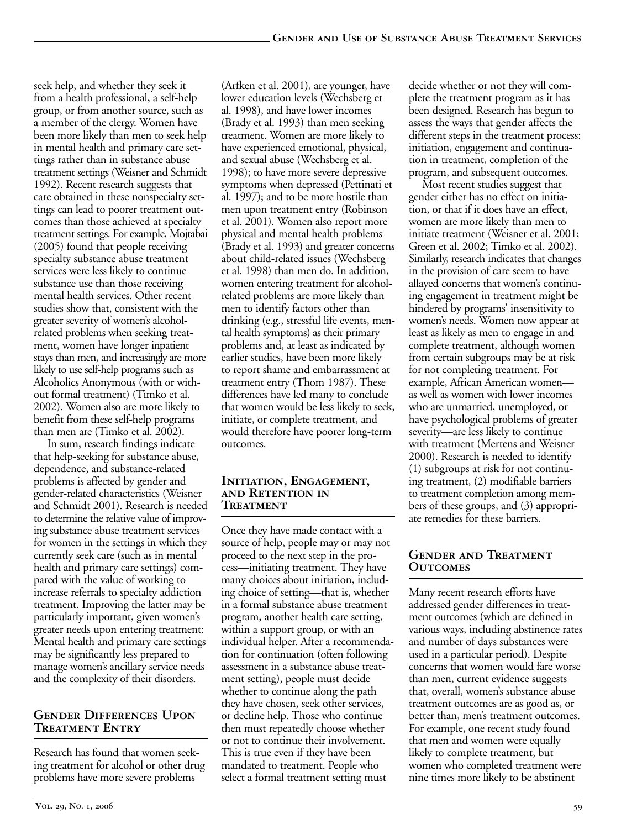seek help, and whether they seek it from a health professional, a self-help group, or from another source, such as a member of the clergy. Women have been more likely than men to seek help in mental health and primary care settings rather than in substance abuse treatment settings (Weisner and Schmidt 1992). Recent research suggests that care obtained in these nonspecialty settings can lead to poorer treatment outcomes than those achieved at specialty treatment settings. For example, Mojtabai (2005) found that people receiving specialty substance abuse treatment services were less likely to continue substance use than those receiving mental health services. Other recent studies show that, consistent with the greater severity of women's alcoholrelated problems when seeking treatment, women have longer inpatient stays than men, and increasingly are more likely to use self-help programs such as Alcoholics Anonymous (with or without formal treatment) (Timko et al. 2002). Women also are more likely to benefit from these self-help programs than men are (Timko et al. 2002).

In sum, research findings indicate that help-seeking for substance abuse, dependence, and substance-related problems is affected by gender and gender-related characteristics (Weisner and Schmidt 2001). Research is needed to determine the relative value of improving substance abuse treatment services for women in the settings in which they currently seek care (such as in mental health and primary care settings) compared with the value of working to increase referrals to specialty addiction treatment. Improving the latter may be particularly important, given women's greater needs upon entering treatment: Mental health and primary care settings may be significantly less prepared to manage women's ancillary service needs and the complexity of their disorders.

## **Gender Differences Upon Treatment Entry**

Research has found that women seeking treatment for alcohol or other drug problems have more severe problems

(Arfken et al. 2001), are younger, have lower education levels (Wechsberg et al. 1998), and have lower incomes (Brady et al. 1993) than men seeking treatment. Women are more likely to have experienced emotional, physical, and sexual abuse (Wechsberg et al. 1998); to have more severe depressive symptoms when depressed (Pettinati et al. 1997); and to be more hostile than men upon treatment entry (Robinson et al. 2001). Women also report more physical and mental health problems (Brady et al. 1993) and greater concerns about child-related issues (Wechsberg et al. 1998) than men do. In addition, women entering treatment for alcoholrelated problems are more likely than men to identify factors other than drinking (e.g., stressful life events, mental health symptoms) as their primary problems and, at least as indicated by earlier studies, have been more likely to report shame and embarrassment at treatment entry (Thom 1987). These differences have led many to conclude that women would be less likely to seek, initiate, or complete treatment, and would therefore have poorer long-term outcomes.

#### **Initiation, Engagement, and Retention in Treatment**

Once they have made contact with a source of help, people may or may not proceed to the next step in the process—initiating treatment. They have many choices about initiation, including choice of setting—that is, whether in a formal substance abuse treatment program, another health care setting, within a support group, or with an individual helper. After a recommendation for continuation (often following assessment in a substance abuse treatment setting), people must decide whether to continue along the path they have chosen, seek other services, or decline help. Those who continue then must repeatedly choose whether or not to continue their involvement. This is true even if they have been mandated to treatment. People who select a formal treatment setting must

decide whether or not they will complete the treatment program as it has been designed. Research has begun to assess the ways that gender affects the different steps in the treatment process: initiation, engagement and continuation in treatment, completion of the program, and subsequent outcomes.

Most recent studies suggest that gender either has no effect on initiation, or that if it does have an effect, women are more likely than men to initiate treatment (Weisner et al. 2001; Green et al. 2002; Timko et al. 2002). Similarly, research indicates that changes in the provision of care seem to have allayed concerns that women's continuing engagement in treatment might be hindered by programs' insensitivity to women's needs. Women now appear at least as likely as men to engage in and complete treatment, although women from certain subgroups may be at risk for not completing treatment. For example, African American women as well as women with lower incomes who are unmarried, unemployed, or have psychological problems of greater severity—are less likely to continue with treatment (Mertens and Weisner 2000). Research is needed to identify (1) subgroups at risk for not continuing treatment, (2) modifiable barriers to treatment completion among members of these groups, and (3) appropriate remedies for these barriers.

## **Gender and Treatment Outcomes**

Many recent research efforts have addressed gender differences in treatment outcomes (which are defined in various ways, including abstinence rates and number of days substances were used in a particular period). Despite concerns that women would fare worse than men, current evidence suggests that, overall, women's substance abuse treatment outcomes are as good as, or better than, men's treatment outcomes. For example, one recent study found that men and women were equally likely to complete treatment, but women who completed treatment were nine times more likely to be abstinent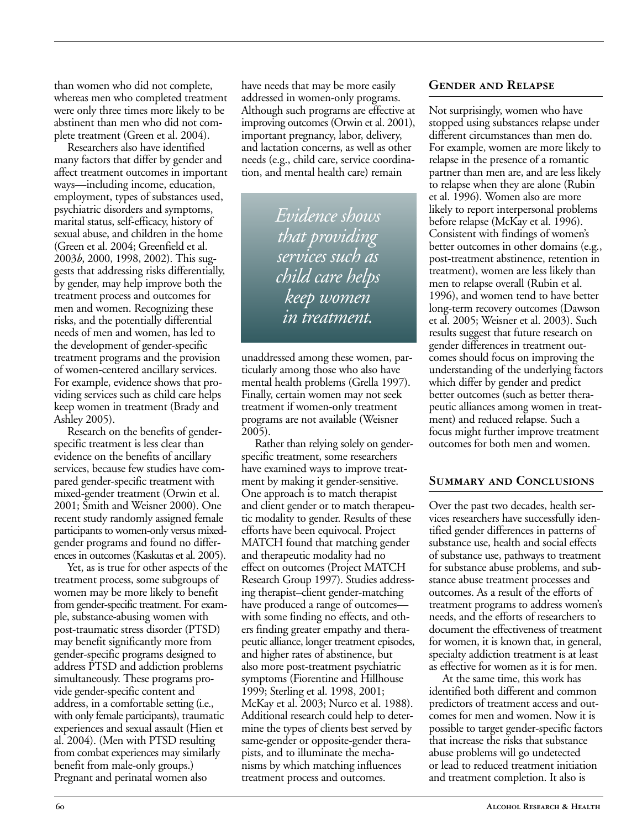than women who did not complete, whereas men who completed treatment were only three times more likely to be abstinent than men who did not complete treatment (Green et al. 2004).

Researchers also have identified many factors that differ by gender and affect treatment outcomes in important ways—including income, education, employment, types of substances used, psychiatric disorders and symptoms, marital status, self-efficacy, history of sexual abuse, and children in the home (Green et al. 2004; Greenfield et al. 2003*b*, 2000, 1998, 2002). This suggests that addressing risks differentially, by gender, may help improve both the treatment process and outcomes for men and women. Recognizing these risks, and the potentially differential needs of men and women, has led to the development of gender-specific treatment programs and the provision of women-centered ancillary services. For example, evidence shows that providing services such as child care helps keep women in treatment (Brady and Ashley 2005).

Research on the benefits of genderspecific treatment is less clear than evidence on the benefits of ancillary services, because few studies have compared gender-specific treatment with mixed-gender treatment (Orwin et al. 2001; Smith and Weisner 2000). One recent study randomly assigned female participants to women-only versus mixedgender programs and found no differences in outcomes (Kaskutas et al. 2005).

Yet, as is true for other aspects of the treatment process, some subgroups of women may be more likely to benefit from gender-specific treatment. For example, substance-abusing women with post-traumatic stress disorder (PTSD) may benefit significantly more from gender-specific programs designed to address PTSD and addiction problems simultaneously. These programs provide gender-specific content and address, in a comfortable setting (i.e., with only female participants), traumatic experiences and sexual assault (Hien et al. 2004). (Men with PTSD resulting from combat experiences may similarly benefit from male-only groups.) Pregnant and perinatal women also

have needs that may be more easily addressed in women-only programs. Although such programs are effective at improving outcomes (Orwin et al. 2001), important pregnancy, labor, delivery, and lactation concerns, as well as other needs (e.g., child care, service coordination, and mental health care) remain

> *Evidence shows that providing services such as child care helps keep women in treatment.*

unaddressed among these women, particularly among those who also have mental health problems (Grella 1997). Finally, certain women may not seek treatment if women-only treatment programs are not available (Weisner 2005).

Rather than relying solely on genderspecific treatment, some researchers have examined ways to improve treatment by making it gender-sensitive. One approach is to match therapist and client gender or to match therapeutic modality to gender. Results of these efforts have been equivocal. Project MATCH found that matching gender and therapeutic modality had no effect on outcomes (Project MATCH Research Group 1997). Studies addressing therapist–client gender-matching have produced a range of outcomes with some finding no effects, and others finding greater empathy and therapeutic alliance, longer treatment episodes, and higher rates of abstinence, but also more post-treatment psychiatric symptoms (Fiorentine and Hillhouse 1999; Sterling et al. 1998, 2001; McKay et al. 2003; Nurco et al. 1988). Additional research could help to determine the types of clients best served by same-gender or opposite-gender therapists, and to illuminate the mechanisms by which matching influences treatment process and outcomes.

## **Gender and Relapse**

Not surprisingly, women who have stopped using substances relapse under different circumstances than men do. For example, women are more likely to relapse in the presence of a romantic partner than men are, and are less likely to relapse when they are alone (Rubin et al. 1996). Women also are more likely to report interpersonal problems before relapse (McKay et al. 1996). Consistent with findings of women's better outcomes in other domains (e.g., post-treatment abstinence, retention in treatment), women are less likely than men to relapse overall (Rubin et al. 1996), and women tend to have better long-term recovery outcomes (Dawson et al. 2005; Weisner et al. 2003). Such results suggest that future research on gender differences in treatment outcomes should focus on improving the understanding of the underlying factors which differ by gender and predict better outcomes (such as better therapeutic alliances among women in treatment) and reduced relapse. Such a focus might further improve treatment outcomes for both men and women.

#### **Summary and Conclusions**

Over the past two decades, health services researchers have successfully identified gender differences in patterns of substance use, health and social effects of substance use, pathways to treatment for substance abuse problems, and substance abuse treatment processes and outcomes. As a result of the efforts of treatment programs to address women's needs, and the efforts of researchers to document the effectiveness of treatment for women, it is known that, in general, specialty addiction treatment is at least as effective for women as it is for men.

At the same time, this work has identified both different and common predictors of treatment access and outcomes for men and women. Now it is possible to target gender-specific factors that increase the risks that substance abuse problems will go undetected or lead to reduced treatment initiation and treatment completion. It also is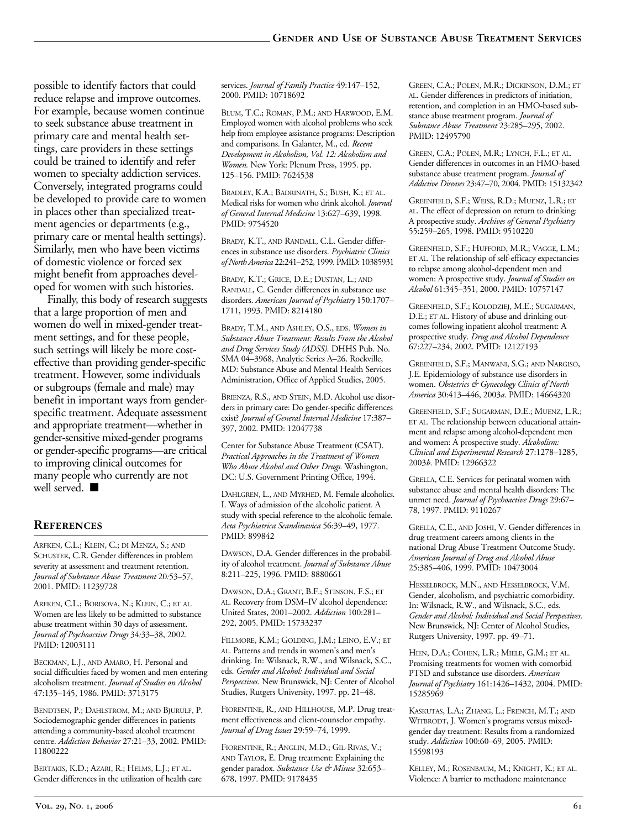possible to identify factors that could reduce relapse and improve outcomes. For example, because women continue to seek substance abuse treatment in primary care and mental health settings, care providers in these settings could be trained to identify and refer women to specialty addiction services. Conversely, integrated programs could be developed to provide care to women in places other than specialized treatment agencies or departments (e.g., primary care or mental health settings). Similarly, men who have been victims of domestic violence or forced sex might benefit from approaches developed for women with such histories.

Finally, this body of research suggests that a large proportion of men and women do well in mixed-gender treatment settings, and for these people, such settings will likely be more costeffective than providing gender-specific treatment. However, some individuals or subgroups (female and male) may benefit in important ways from genderspecific treatment. Adequate assessment and appropriate treatment—whether in gender-sensitive mixed-gender programs or gender-specific programs—are critical to improving clinical outcomes for many people who currently are not well served. ■

#### **References**

ARFKEN, C.L.; KLEIN, C.; DI MENZA, S.; AND SCHUSTER, C.R. Gender differences in problem severity at assessment and treatment retention. *Journal of Substance Abuse Treatment* 20*:*53–57, 2001. PMID: 11239728

ARFKEN, C.L.; BORISOVA, N.; KLEIN, C.; ET AL. Women are less likely to be admitted to substance abuse treatment within 30 days of assessment. *Journal of Psychoactive Drugs* 34*:*33–38, 2002. PMID: 12003111

BECKMAN, L.J., AND AMARO, H. Personal and social difficulties faced by women and men entering alcoholism treatment. *Journal of Studies on Alcohol*  47:135–145, 1986. PMID: 3713175

BENDTSEN, P.; DAHLSTROM, M.; AND BJURULF, P. Sociodemographic gender differences in patients attending a community-based alcohol treatment centre. *Addiction Behavior* 27:21–33, 2002. PMID: 11800222

BERTAKIS, K.D.; AZARI, R.; HELMS, L.J.; ET AL. Gender differences in the utilization of health care services. *Journal of Family Practice* 49:147–152, 2000. PMID: 10718692

BLUM, T.C.; ROMAN, P.M.; AND HARWOOD, E.M. Employed women with alcohol problems who seek help from employee assistance programs: Description and comparisons. In Galanter, M., ed. *Recent Development in Alcoholism, Vol. 12: Alcoholism and Women.* New York: Plenum Press, 1995. pp. 125–156. PMID: 7624538

BRADLEY, K.A.; BADRINATH, S.; BUSH, K.; ET AL. Medical risks for women who drink alcohol. *Journal of General Internal Medicine* 13:627–639, 1998. PMID: 9754520

BRADY, K.T., AND RANDALL, C.L. Gender differences in substance use disorders. *Psychiatric Clinics of North America* 22:241–252, 1999. PMID: 10385931

BRADY, K.T.; GRICE, D.E.; DUSTAN, L.; AND RANDALL, C. Gender differences in substance use disorders. *American Journal of Psychiatry* 150:1707– 1711, 1993. PMID: 8214180

BRADY, T.M., AND ASHLEY, O.S., EDS. *Women in Substance Abuse Treatment: Results From the Alcohol and Drug Services Study (ADSS).* DHHS Pub. No. SMA 04–3968, Analytic Series A–26. Rockville, MD: Substance Abuse and Mental Health Services Administration, Office of Applied Studies, 2005.

BRIENZA, R.S., AND STEIN, M.D. Alcohol use disorders in primary care: Do gender-specific differences exist? *Journal of General Internal Medicine* 17:387– 397, 2002. PMID: 12047738

Center for Substance Abuse Treatment (CSAT). *Practical Approaches in the Treatment of Women Who Abuse Alcohol and Other Drugs.* Washington, DC: U.S. Government Printing Office, 1994.

DAHLGREN, L., AND MYRHED, M. Female alcoholics. I. Ways of admission of the alcoholic patient. A study with special reference to the alcoholic female. *Acta Psychiatrica Scandinavica* 56:39–49, 1977. PMID: 899842

DAWSON, D.A. Gender differences in the probability of alcohol treatment. *Journal of Substance Abuse*  8:211–225, 1996. PMID: 8880661

DAWSON, D.A.; GRANT, B.F.; STINSON, F.S.; ET AL. Recovery from DSM–IV alcohol dependence: United States, 2001–2002. *Addiction* 100:281– 292, 2005. PMID: 15733237

FILLMORE, K.M.; GOLDING, J.M.; LEINO, E.V.; ET AL. Patterns and trends in women's and men's drinking. In: Wilsnack, R.W., and Wilsnack, S.C., eds. *Gender and Alcohol: Individual and Social Perspectives.* New Brunswick, NJ: Center of Alcohol Studies, Rutgers University, 1997. pp. 21–48.

FIORENTINE, R., AND HILLHOUSE, M.P. Drug treatment effectiveness and client-counselor empathy. *Journal of Drug Issues* 29:59–74, 1999.

FIORENTINE, R.; ANGLIN, M.D.; GIL-RIVAS, V.; AND TAYLOR, E. Drug treatment: Explaining the gender paradox. *Substance Use & Misuse* 32:653– 678, 1997. PMID: 9178435

GREEN, C.A.; POLEN, M.R.; DICKINSON, D.M.; ET AL. Gender differences in predictors of initiation, retention, and completion in an HMO-based substance abuse treatment program. *Journal of Substance Abuse Treatment* 23:285–295, 2002. PMID: 12495790

GREEN, C.A.; POLEN, M.R.; LYNCH, F.L.; ET AL. Gender differences in outcomes in an HMO-based substance abuse treatment program. *Journal of Addictive Diseases* 23:47–70, 2004. PMID: 15132342

GREENFIELD, S.F.; WEISS, R.D.; MUENZ, L.R.; ET AL. The effect of depression on return to drinking: A prospective study. *Archives of General Psychiatry*  55:259–265, 1998. PMID: 9510220

GREENFIELD, S.F.; HUFFORD, M.R.; VAGGE, L.M.; ET AL. The relationship of self-efficacy expectancies to relapse among alcohol-dependent men and women: A prospective study. *Journal of Studies on Alcohol* 61:345–351, 2000. PMID: 10757147

GREENFIELD, S.F.; KOLODZIEJ, M.E.; SUGARMAN, D.E.; ET AL. History of abuse and drinking outcomes following inpatient alcohol treatment: A prospective study. *Drug and Alcohol Dependence*  67:227–234, 2002. PMID: 12127193

GREENFIELD, S.F.; MANWANI, S.G.; AND NARGISO, J.E. Epidemiology of substance use disorders in women. *Obstetrics & Gynecology Clinics of North America* 30:413–446, 2003*a*. PMID: 14664320

GREENFIELD, S.F.; SUGARMAN, D.E.; MUENZ, L.R.; ET AL. The relationship between educational attainment and relapse among alcohol-dependent men and women: A prospective study. *Alcoholism: Clinical and Experimental Research* 27:1278–1285, 2003*b*. PMID: 12966322

GRELLA, C.E. Services for perinatal women with substance abuse and mental health disorders: The unmet need. *Journal of Psychoactive Drugs* 29:67– 78, 1997. PMID: 9110267

GRELLA, C.E., AND JOSHI, V. Gender differences in drug treatment careers among clients in the national Drug Abuse Treatment Outcome Study. *American Journal of Drug and Alcohol Abuse*  25:385–406, 1999. PMID: 10473004

HESSELBROCK, M.N., AND HESSELBROCK, V.M. Gender, alcoholism, and psychiatric comorbidity. In: Wilsnack, R.W., and Wilsnack, S.C., eds. *Gender and Alcohol: Individual and Social Perspectives*. New Brunswick, NJ: Center of Alcohol Studies, Rutgers University, 1997. pp. 49–71.

HIEN, D.A.; COHEN, L.R.; MIELE, G.M.; ET AL. Promising treatments for women with comorbid PTSD and substance use disorders. *American Journal of Psychiatry* 161:1426–1432, 2004. PMID: 15285969

KASKUTAS, L.A.; ZHANG, L.; FRENCH, M.T.; AND WITBRODT, J. Women's programs versus mixedgender day treatment: Results from a randomized study. *Addiction* 100:60–69, 2005. PMID: 15598193

KELLEY, M.; ROSENBAUM, M.; KNIGHT, K.; ET AL. Violence: A barrier to methadone maintenance